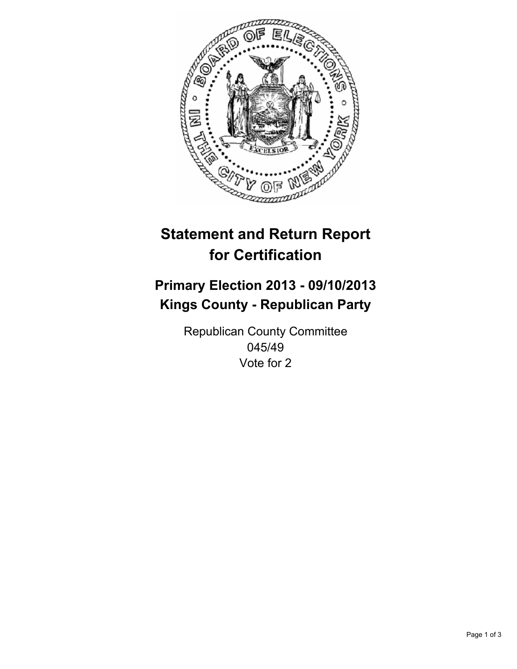

# **Statement and Return Report for Certification**

# **Primary Election 2013 - 09/10/2013 Kings County - Republican Party**

Republican County Committee 045/49 Vote for 2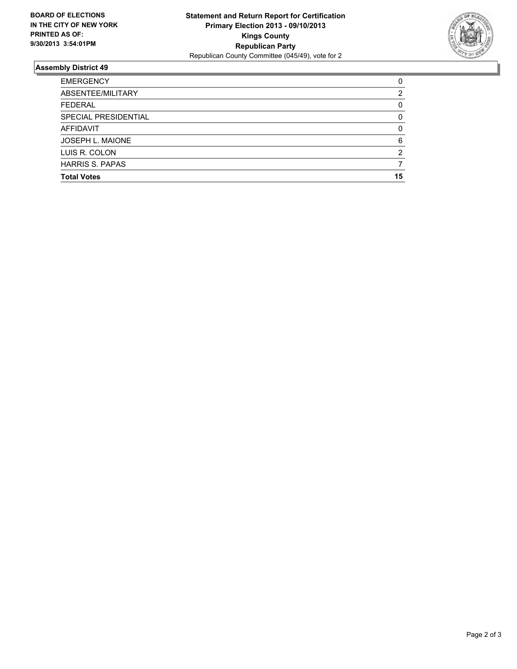

## **Assembly District 49**

| <b>EMERGENCY</b>       | 0  |
|------------------------|----|
| ABSENTEE/MILITARY      | 2  |
| <b>FEDERAL</b>         | 0  |
| SPECIAL PRESIDENTIAL   | 0  |
| AFFIDAVIT              | 0  |
| JOSEPH L. MAIONE       | 6  |
| LUIS R. COLON          | 2  |
| <b>HARRIS S. PAPAS</b> |    |
| <b>Total Votes</b>     | 15 |